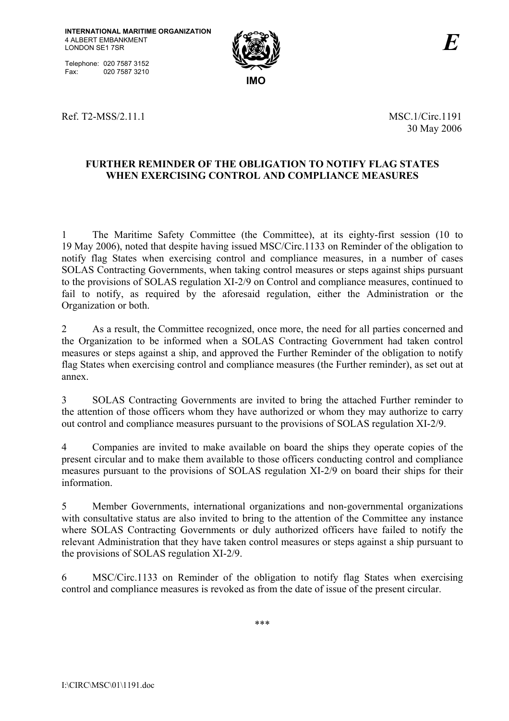Telephone: 020 7587 3152<br>Fax: 020 7587 3210 020 7587 3210



Ref. T2-MSS/2.11.1 MSC.1/Circ.1191

30 May 2006

# **FURTHER REMINDER OF THE OBLIGATION TO NOTIFY FLAG STATES WHEN EXERCISING CONTROL AND COMPLIANCE MEASURES**

1 The Maritime Safety Committee (the Committee), at its eighty-first session (10 to 19 May 2006), noted that despite having issued MSC/Circ.1133 on Reminder of the obligation to notify flag States when exercising control and compliance measures, in a number of cases SOLAS Contracting Governments, when taking control measures or steps against ships pursuant to the provisions of SOLAS regulation XI-2/9 on Control and compliance measures, continued to fail to notify, as required by the aforesaid regulation, either the Administration or the Organization or both.

2 As a result, the Committee recognized, once more, the need for all parties concerned and the Organization to be informed when a SOLAS Contracting Government had taken control measures or steps against a ship, and approved the Further Reminder of the obligation to notify flag States when exercising control and compliance measures (the Further reminder), as set out at annex.

3 SOLAS Contracting Governments are invited to bring the attached Further reminder to the attention of those officers whom they have authorized or whom they may authorize to carry out control and compliance measures pursuant to the provisions of SOLAS regulation XI-2/9.

4 Companies are invited to make available on board the ships they operate copies of the present circular and to make them available to those officers conducting control and compliance measures pursuant to the provisions of SOLAS regulation XI-2/9 on board their ships for their information.

5 Member Governments, international organizations and non-governmental organizations with consultative status are also invited to bring to the attention of the Committee any instance where SOLAS Contracting Governments or duly authorized officers have failed to notify the relevant Administration that they have taken control measures or steps against a ship pursuant to the provisions of SOLAS regulation XI-2/9.

6 MSC/Circ.1133 on Reminder of the obligation to notify flag States when exercising control and compliance measures is revoked as from the date of issue of the present circular.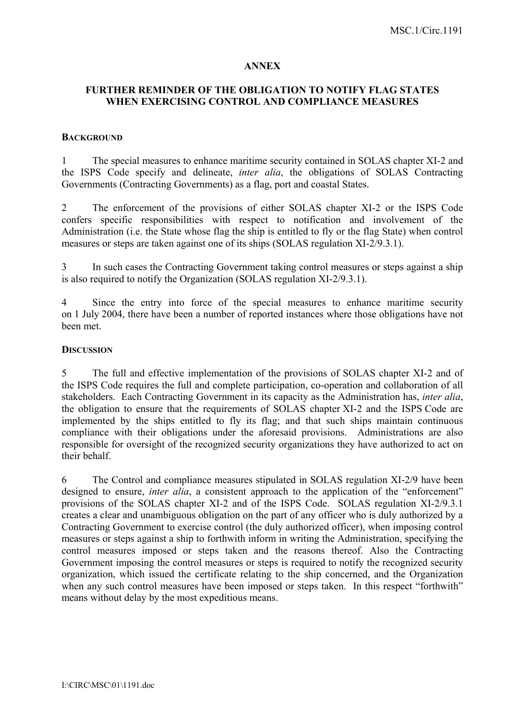#### **ANNEX**

## **FURTHER REMINDER OF THE OBLIGATION TO NOTIFY FLAG STATES WHEN EXERCISING CONTROL AND COMPLIANCE MEASURES**

#### **BACKGROUND**

1 The special measures to enhance maritime security contained in SOLAS chapter XI-2 and the ISPS Code specify and delineate, *inter alia*, the obligations of SOLAS Contracting Governments (Contracting Governments) as a flag, port and coastal States.

2 The enforcement of the provisions of either SOLAS chapter XI-2 or the ISPS Code confers specific responsibilities with respect to notification and involvement of the Administration (i.e. the State whose flag the ship is entitled to fly or the flag State) when control measures or steps are taken against one of its ships (SOLAS regulation XI-2/9.3.1).

3 In such cases the Contracting Government taking control measures or steps against a ship is also required to notify the Organization (SOLAS regulation XI-2/9.3.1).

4 Since the entry into force of the special measures to enhance maritime security on 1 July 2004, there have been a number of reported instances where those obligations have not been met.

#### **DISCUSSION**

5 The full and effective implementation of the provisions of SOLAS chapter XI-2 and of the ISPS Code requires the full and complete participation, co-operation and collaboration of all stakeholders. Each Contracting Government in its capacity as the Administration has, *inter alia*, the obligation to ensure that the requirements of SOLAS chapter XI-2 and the ISPS Code are implemented by the ships entitled to fly its flag; and that such ships maintain continuous compliance with their obligations under the aforesaid provisions. Administrations are also responsible for oversight of the recognized security organizations they have authorized to act on their behalf.

6 The Control and compliance measures stipulated in SOLAS regulation XI-2/9 have been designed to ensure, *inter alia*, a consistent approach to the application of the "enforcement" provisions of the SOLAS chapter XI-2 and of the ISPS Code. SOLAS regulation XI-2/9.3.1 creates a clear and unambiguous obligation on the part of any officer who is duly authorized by a Contracting Government to exercise control (the duly authorized officer), when imposing control measures or steps against a ship to forthwith inform in writing the Administration, specifying the control measures imposed or steps taken and the reasons thereof. Also the Contracting Government imposing the control measures or steps is required to notify the recognized security organization, which issued the certificate relating to the ship concerned, and the Organization when any such control measures have been imposed or steps taken. In this respect "forthwith" means without delay by the most expeditious means.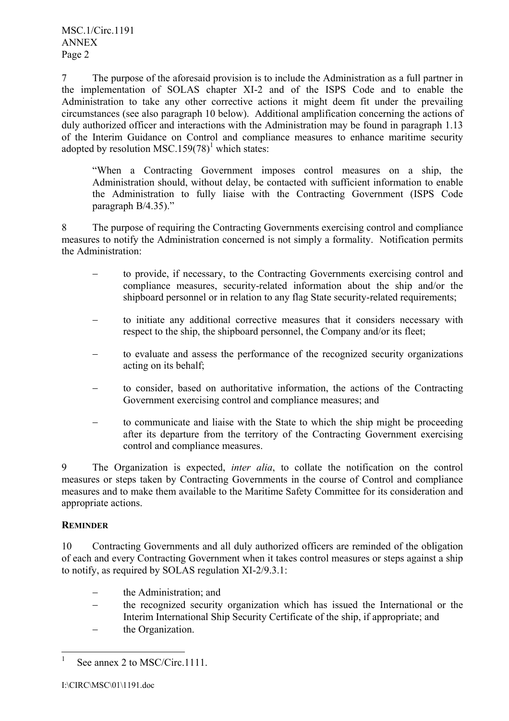7 The purpose of the aforesaid provision is to include the Administration as a full partner in the implementation of SOLAS chapter XI-2 and of the ISPS Code and to enable the Administration to take any other corrective actions it might deem fit under the prevailing circumstances (see also paragraph 10 below). Additional amplification concerning the actions of duly authorized officer and interactions with the Administration may be found in paragraph 1.13 of the Interim Guidance on Control and compliance measures to enhance maritime security adopted by resolution MSC.159 $(78)^1$  which states:

ìWhen a Contracting Government imposes control measures on a ship, the Administration should, without delay, be contacted with sufficient information to enable the Administration to fully liaise with the Contracting Government (ISPS Code paragraph  $B/4.35$ ).<sup>n</sup>

8 The purpose of requiring the Contracting Governments exercising control and compliance measures to notify the Administration concerned is not simply a formality. Notification permits the Administration:

- − to provide, if necessary, to the Contracting Governments exercising control and compliance measures, security-related information about the ship and/or the shipboard personnel or in relation to any flag State security-related requirements;
- to initiate any additional corrective measures that it considers necessary with respect to the ship, the shipboard personnel, the Company and/or its fleet;
- to evaluate and assess the performance of the recognized security organizations acting on its behalf;
- to consider, based on authoritative information, the actions of the Contracting Government exercising control and compliance measures; and
- to communicate and liaise with the State to which the ship might be proceeding after its departure from the territory of the Contracting Government exercising control and compliance measures.

9 The Organization is expected, *inter alia*, to collate the notification on the control measures or steps taken by Contracting Governments in the course of Control and compliance measures and to make them available to the Maritime Safety Committee for its consideration and appropriate actions.

# **REMINDER**

10 Contracting Governments and all duly authorized officers are reminded of the obligation of each and every Contracting Government when it takes control measures or steps against a ship to notify, as required by SOLAS regulation XI-2/9.3.1:

- the Administration; and
- the recognized security organization which has issued the International or the Interim International Ship Security Certificate of the ship, if appropriate; and
- the Organization.

 $\frac{1}{1}$ See annex 2 to MSC/Circ. 1111.